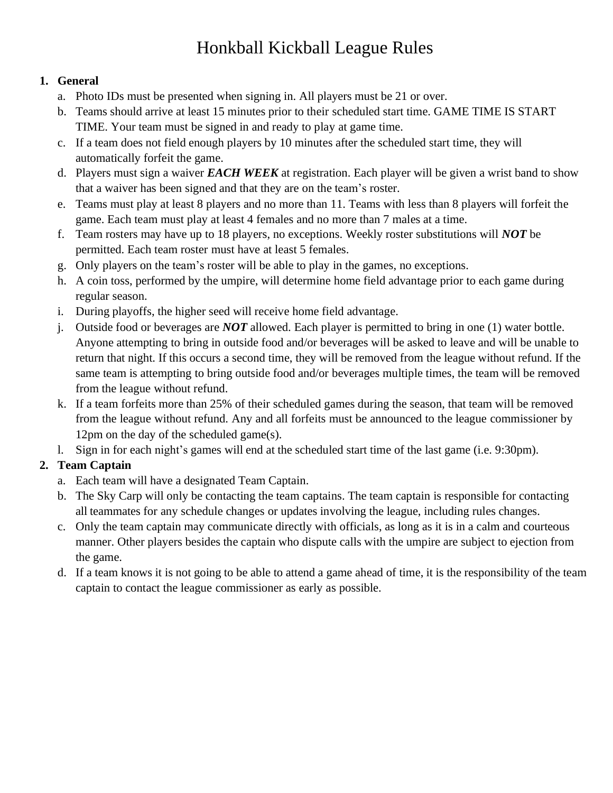# Honkball Kickball League Rules

#### **1. General**

- a. Photo IDs must be presented when signing in. All players must be 21 or over.
- b. Teams should arrive at least 15 minutes prior to their scheduled start time. GAME TIME IS START TIME. Your team must be signed in and ready to play at game time.
- c. If a team does not field enough players by 10 minutes after the scheduled start time, they will automatically forfeit the game.
- d. Players must sign a waiver *EACH WEEK* at registration. Each player will be given a wrist band to show that a waiver has been signed and that they are on the team's roster.
- e. Teams must play at least 8 players and no more than 11. Teams with less than 8 players will forfeit the game. Each team must play at least 4 females and no more than 7 males at a time.
- f. Team rosters may have up to 18 players, no exceptions. Weekly roster substitutions will *NOT* be permitted. Each team roster must have at least 5 females.
- g. Only players on the team's roster will be able to play in the games, no exceptions.
- h. A coin toss, performed by the umpire, will determine home field advantage prior to each game during regular season.
- i. During playoffs, the higher seed will receive home field advantage.
- j. Outside food or beverages are *NOT* allowed. Each player is permitted to bring in one (1) water bottle. Anyone attempting to bring in outside food and/or beverages will be asked to leave and will be unable to return that night. If this occurs a second time, they will be removed from the league without refund. If the same team is attempting to bring outside food and/or beverages multiple times, the team will be removed from the league without refund.
- k. If a team forfeits more than 25% of their scheduled games during the season, that team will be removed from the league without refund. Any and all forfeits must be announced to the league commissioner by 12pm on the day of the scheduled game(s).
- l. Sign in for each night's games will end at the scheduled start time of the last game (i.e. 9:30pm).

## **2. Team Captain**

- a. Each team will have a designated Team Captain.
- b. The Sky Carp will only be contacting the team captains. The team captain is responsible for contacting all teammates for any schedule changes or updates involving the league, including rules changes.
- c. Only the team captain may communicate directly with officials, as long as it is in a calm and courteous manner. Other players besides the captain who dispute calls with the umpire are subject to ejection from the game.
- d. If a team knows it is not going to be able to attend a game ahead of time, it is the responsibility of the team captain to contact the league commissioner as early as possible.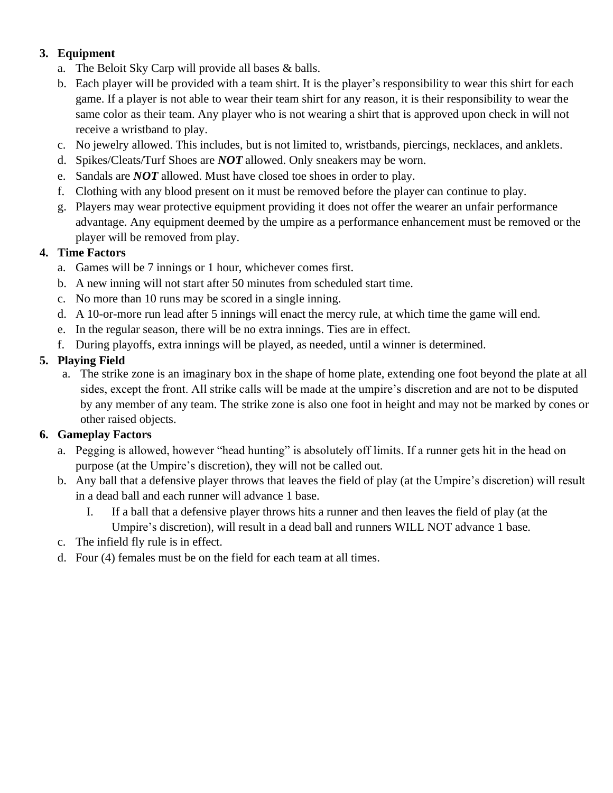### **3. Equipment**

- a. The Beloit Sky Carp will provide all bases & balls.
- b. Each player will be provided with a team shirt. It is the player's responsibility to wear this shirt for each game. If a player is not able to wear their team shirt for any reason, it is their responsibility to wear the same color as their team. Any player who is not wearing a shirt that is approved upon check in will not receive a wristband to play.
- c. No jewelry allowed. This includes, but is not limited to, wristbands, piercings, necklaces, and anklets.
- d. Spikes/Cleats/Turf Shoes are *NOT* allowed. Only sneakers may be worn.
- e. Sandals are *NOT* allowed. Must have closed toe shoes in order to play.
- f. Clothing with any blood present on it must be removed before the player can continue to play.
- g. Players may wear protective equipment providing it does not offer the wearer an unfair performance advantage. Any equipment deemed by the umpire as a performance enhancement must be removed or the player will be removed from play.

### **4. Time Factors**

- a. Games will be 7 innings or 1 hour, whichever comes first.
- b. A new inning will not start after 50 minutes from scheduled start time.
- c. No more than 10 runs may be scored in a single inning.
- d. A 10-or-more run lead after 5 innings will enact the mercy rule, at which time the game will end.
- e. In the regular season, there will be no extra innings. Ties are in effect.
- f. During playoffs, extra innings will be played, as needed, until a winner is determined.

### **5. Playing Field**

a. The strike zone is an imaginary box in the shape of home plate, extending one foot beyond the plate at all sides, except the front. All strike calls will be made at the umpire's discretion and are not to be disputed by any member of any team. The strike zone is also one foot in height and may not be marked by cones or other raised objects.

### **6. Gameplay Factors**

- a. Pegging is allowed, however "head hunting" is absolutely off limits. If a runner gets hit in the head on purpose (at the Umpire's discretion), they will not be called out.
- b. Any ball that a defensive player throws that leaves the field of play (at the Umpire's discretion) will result in a dead ball and each runner will advance 1 base.
	- I. If a ball that a defensive player throws hits a runner and then leaves the field of play (at the Umpire's discretion), will result in a dead ball and runners WILL NOT advance 1 base.
- c. The infield fly rule is in effect.
- d. Four (4) females must be on the field for each team at all times.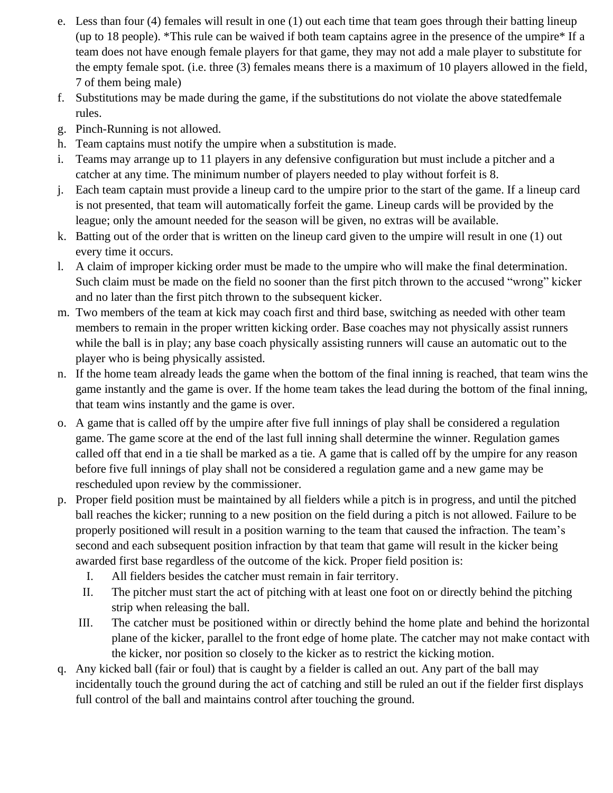- e. Less than four (4) females will result in one (1) out each time that team goes through their batting lineup (up to 18 people). \*This rule can be waived if both team captains agree in the presence of the umpire\* If a team does not have enough female players for that game, they may not add a male player to substitute for the empty female spot. (i.e. three (3) females means there is a maximum of 10 players allowed in the field, 7 of them being male)
- f. Substitutions may be made during the game, if the substitutions do not violate the above statedfemale rules.
- g. Pinch-Running is not allowed.
- h. Team captains must notify the umpire when a substitution is made.
- i. Teams may arrange up to 11 players in any defensive configuration but must include a pitcher and a catcher at any time. The minimum number of players needed to play without forfeit is 8.
- j. Each team captain must provide a lineup card to the umpire prior to the start of the game. If a lineup card is not presented, that team will automatically forfeit the game. Lineup cards will be provided by the league; only the amount needed for the season will be given, no extras will be available.
- k. Batting out of the order that is written on the lineup card given to the umpire will result in one (1) out every time it occurs.
- l. A claim of improper kicking order must be made to the umpire who will make the final determination. Such claim must be made on the field no sooner than the first pitch thrown to the accused "wrong" kicker and no later than the first pitch thrown to the subsequent kicker.
- m. Two members of the team at kick may coach first and third base, switching as needed with other team members to remain in the proper written kicking order. Base coaches may not physically assist runners while the ball is in play; any base coach physically assisting runners will cause an automatic out to the player who is being physically assisted.
- n. If the home team already leads the game when the bottom of the final inning is reached, that team wins the game instantly and the game is over. If the home team takes the lead during the bottom of the final inning, that team wins instantly and the game is over.
- o. A game that is called off by the umpire after five full innings of play shall be considered a regulation game. The game score at the end of the last full inning shall determine the winner. Regulation games called off that end in a tie shall be marked as a tie. A game that is called off by the umpire for any reason before five full innings of play shall not be considered a regulation game and a new game may be rescheduled upon review by the commissioner.
- p. Proper field position must be maintained by all fielders while a pitch is in progress, and until the pitched ball reaches the kicker; running to a new position on the field during a pitch is not allowed. Failure to be properly positioned will result in a position warning to the team that caused the infraction. The team's second and each subsequent position infraction by that team that game will result in the kicker being awarded first base regardless of the outcome of the kick. Proper field position is:
	- I. All fielders besides the catcher must remain in fair territory.
	- II. The pitcher must start the act of pitching with at least one foot on or directly behind the pitching strip when releasing the ball.
	- III. The catcher must be positioned within or directly behind the home plate and behind the horizontal plane of the kicker, parallel to the front edge of home plate. The catcher may not make contact with the kicker, nor position so closely to the kicker as to restrict the kicking motion.
- q. Any kicked ball (fair or foul) that is caught by a fielder is called an out. Any part of the ball may incidentally touch the ground during the act of catching and still be ruled an out if the fielder first displays full control of the ball and maintains control after touching the ground.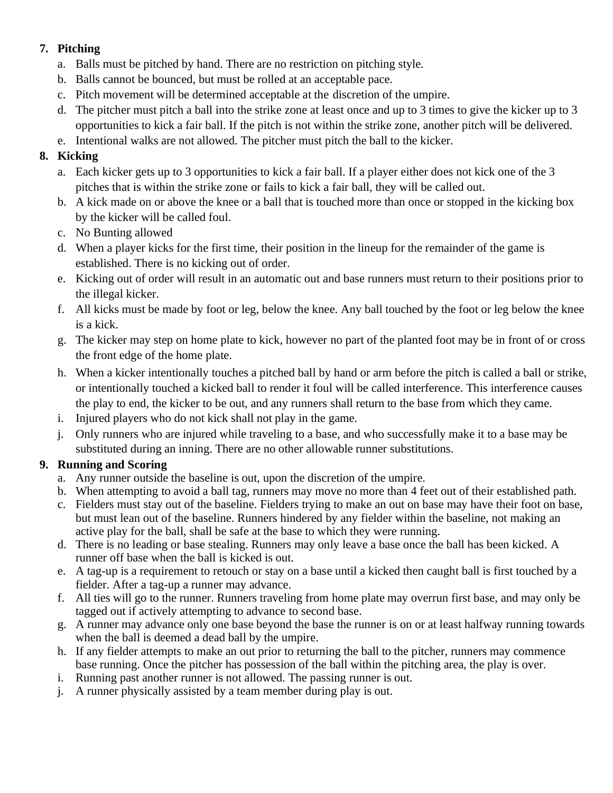### **7. Pitching**

- a. Balls must be pitched by hand. There are no restriction on pitching style.
- b. Balls cannot be bounced, but must be rolled at an acceptable pace.
- c. Pitch movement will be determined acceptable at the discretion of the umpire.
- d. The pitcher must pitch a ball into the strike zone at least once and up to 3 times to give the kicker up to 3 opportunities to kick a fair ball. If the pitch is not within the strike zone, another pitch will be delivered.
- e. Intentional walks are not allowed. The pitcher must pitch the ball to the kicker.

### **8. Kicking**

- a. Each kicker gets up to 3 opportunities to kick a fair ball. If a player either does not kick one of the 3 pitches that is within the strike zone or fails to kick a fair ball, they will be called out.
- b. A kick made on or above the knee or a ball that is touched more than once or stopped in the kicking box by the kicker will be called foul.
- c. No Bunting allowed
- d. When a player kicks for the first time, their position in the lineup for the remainder of the game is established. There is no kicking out of order.
- e. Kicking out of order will result in an automatic out and base runners must return to their positions prior to the illegal kicker.
- f. All kicks must be made by foot or leg, below the knee. Any ball touched by the foot or leg below the knee is a kick.
- g. The kicker may step on home plate to kick, however no part of the planted foot may be in front of or cross the front edge of the home plate.
- h. When a kicker intentionally touches a pitched ball by hand or arm before the pitch is called a ball or strike, or intentionally touched a kicked ball to render it foul will be called interference. This interference causes the play to end, the kicker to be out, and any runners shall return to the base from which they came.
- i. Injured players who do not kick shall not play in the game.
- j. Only runners who are injured while traveling to a base, and who successfully make it to a base may be substituted during an inning. There are no other allowable runner substitutions.

### **9. Running and Scoring**

- a. Any runner outside the baseline is out, upon the discretion of the umpire.
- b. When attempting to avoid a ball tag, runners may move no more than 4 feet out of their established path.
- c. Fielders must stay out of the baseline. Fielders trying to make an out on base may have their foot on base, but must lean out of the baseline. Runners hindered by any fielder within the baseline, not making an active play for the ball, shall be safe at the base to which they were running.
- d. There is no leading or base stealing. Runners may only leave a base once the ball has been kicked. A runner off base when the ball is kicked is out.
- e. A tag-up is a requirement to retouch or stay on a base until a kicked then caught ball is first touched by a fielder. After a tag-up a runner may advance.
- f. All ties will go to the runner. Runners traveling from home plate may overrun first base, and may only be tagged out if actively attempting to advance to second base.
- g. A runner may advance only one base beyond the base the runner is on or at least halfway running towards when the ball is deemed a dead ball by the umpire.
- h. If any fielder attempts to make an out prior to returning the ball to the pitcher, runners may commence base running. Once the pitcher has possession of the ball within the pitching area, the play is over.
- i. Running past another runner is not allowed. The passing runner is out.
- j. A runner physically assisted by a team member during play is out.